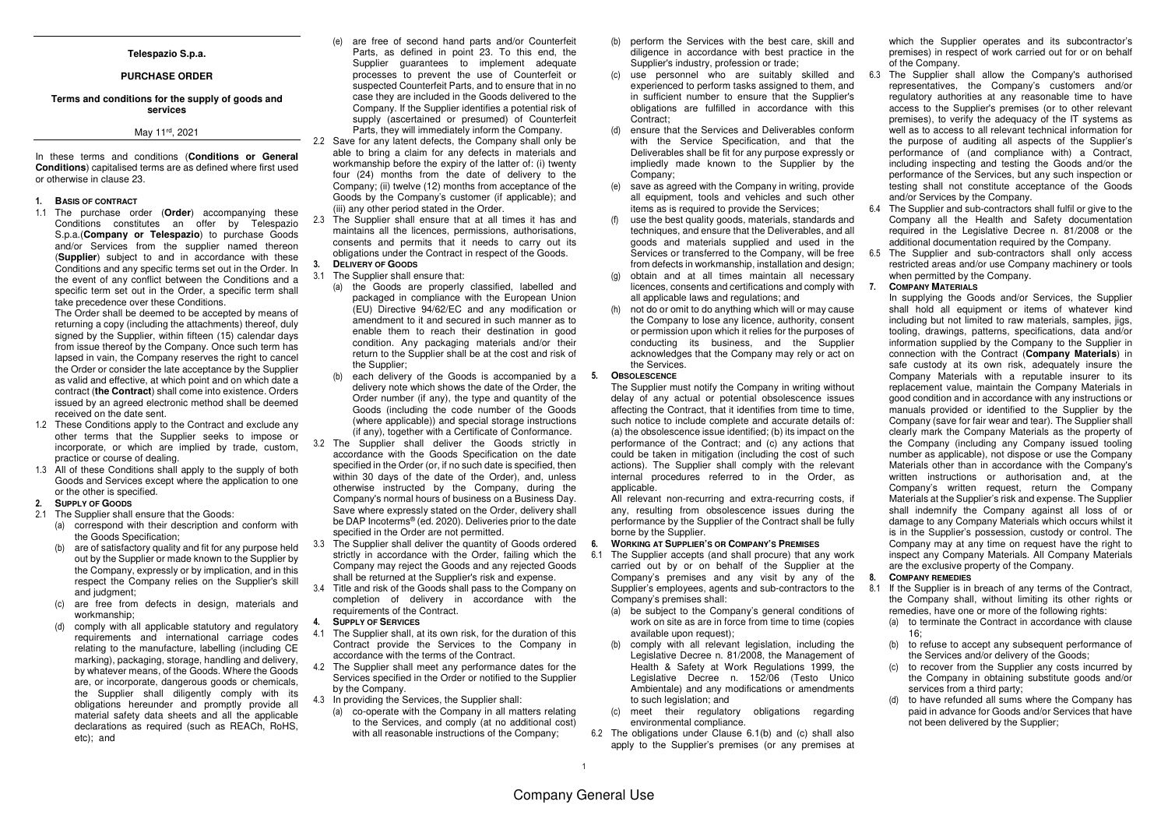#### **Telespazio S.p.a.**

#### **PURCHASE ORDER**

### **Terms and conditions for the supply of goods and services**

## May 11rd, 2021

In these terms and conditions (**Conditions or General Conditions**) capitalised terms are as defined where first usedor otherwise in clause 23.

#### **1. BASIS OF CONTRACT**

 1.1 The purchase order (**Order**) accompanying these Conditions constitutes an offer by Telespazio S.p.a.(**Company or Telespazio**) to purchase Goods and/or Services from the supplier named thereon (**Supplier**) subject to and in accordance with these Conditions and any specific terms set out in the Order. In the event of any conflict between the Conditions and a specific term set out in the Order, a specific term shall take precedence over these Conditions.

 The Order shall be deemed to be accepted by means of returning a copy (including the attachments) thereof, duly signed by the Supplier, within fifteen (15) calendar days from issue thereof by the Company. Once such term has lapsed in vain, the Company reserves the right to cancel the Order or consider the late acceptance by the Supplier as valid and effective, at which point and on which date a contract (**the Contract**) shall come into existence. Orders issued by an agreed electronic method shall be deemed received on the date sent.

- 1.2 These Conditions apply to the Contract and exclude any other terms that the Supplier seeks to impose or incorporate, or which are implied by trade, custom,practice or course of dealing.
- 1.3 All of these Conditions shall apply to the supply of both Goods and Services except where the application to one or the other is specified.
- **2. SUPPLY OF GOODS**
- 2.1 The Supplier shall ensure that the Goods:
	- (a) correspond with their description and conform withthe Goods Specification;
	- (b) are of satisfactory quality and fit for any purpose held out by the Supplier or made known to the Supplier by the Company, expressly or by implication, and in this respect the Company relies on the Supplier's skill and judgment;
	- (c) are free from defects in design, materials and workmanship;
	- (d) comply with all applicable statutory and regulatory requirements and international carriage codes relating to the manufacture, labelling (including CE marking), packaging, storage, handling and delivery, by whatever means, of the Goods. Where the Goods are, or incorporate, dangerous goods or chemicals, the Supplier shall diligently comply with its obligations hereunder and promptly provide all material safety data sheets and all the applicable declarations as required (such as REACh, RoHS, etc); and
- (e) are free of second hand parts and/or Counterfeit Parts, as defined in point 23. To this end, the Supplier guarantees to implement adequate processes to prevent the use of Counterfeit or suspected Counterfeit Parts, and to ensure that in no case they are included in the Goods delivered to the Company. If the Supplier identifies a potential risk of supply (ascertained or presumed) of Counterfeit Parts, they will immediately inform the Company.
- 2.2 Save for any latent defects, the Company shall only be able to bring a claim for any defects in materials and workmanship before the expiry of the latter of: (i) twenty four (24) months from the date of delivery to the Company; (ii) twelve (12) months from acceptance of the Goods by the Company's customer (if applicable); and (iii) any other period stated in the Order.
- 2.3 The Supplier shall ensure that at all times it has and maintains all the licences, permissions, authorisations, consents and permits that it needs to carry out itsobligations under the Contract in respect of the Goods. **3. DELIVERY OF GOODS**

# 3.1 The Supplier shall ensure that:

- (a) the Goods are properly classified, labelled and packaged in compliance with the European Union (EU) Directive 94/62/EC and any modification or amendment to it and secured in such manner as to enable them to reach their destination in good condition. Any packaging materials and/or their return to the Supplier shall be at the cost and risk of the Supplier;
- (b) each delivery of the Goods is accompanied by a **5. OBSOLESCENCE** delivery note which shows the date of the Order, the Order number (if any), the type and quantity of the Goods (including the code number of the Goods (where applicable)) and special storage instructions (if any), together with a Certificate of Conformance.
- 3.2 The Supplier shall deliver the Goods strictly in accordance with the Goods Specification on the date specified in the Order (or, if no such date is specified, then within 30 days of the date of the Order), and, unless otherwise instructed by the Company, during the Company's normal hours of business on a Business Day. Save where expressly stated on the Order, delivery shall be DAP Incoterms® (ed. 2020). Deliveries prior to the date specified in the Order are not permitted.
- 3.3 The Supplier shall deliver the quantity of Goods ordered strictly in accordance with the Order, failing which the Company may reject the Goods and any rejected Goodsshall be returned at the Supplier's risk and expense.
- 3.4 Title and risk of the Goods shall pass to the Company on completion of delivery in accordance with the requirements of the Contract.

#### **4. SUPPLY OF SERVICES**

- 4.1 The Supplier shall, at its own risk, for the duration of this Contract provide the Services to the Company in accordance with the terms of the Contract.
- 4.2 The Supplier shall meet any performance dates for the Services specified in the Order or notified to the Supplier by the Company.
- 4.3 In providing the Services, the Supplier shall:
- (a) co-operate with the Company in all matters relating to the Services, and comply (at no additional cost)with all reasonable instructions of the Company;
- (b) perform the Services with the best care, skill and diligence in accordance with best practice in the Supplier's industry, profession or trade;
- (c) use personnel who are suitably skilled and experienced to perform tasks assigned to them, and in sufficient number to ensure that the Supplier's obligations are fulfilled in accordance with this Contract:
- (d) ensure that the Services and Deliverables conform with the Service Specification, and that the Deliverables shall be fit for any purpose expressly or impliedly made known to the Supplier by the Company;
- (e) save as agreed with the Company in writing, provide all equipment, tools and vehicles and such other items as is required to provide the Services;
- (f) use the best quality goods, materials, standards and techniques, and ensure that the Deliverables, and all goods and materials supplied and used in the Services or transferred to the Company, will be free from defects in workmanship, installation and design;
- (g) obtain and at all times maintain all necessary licences, consents and certifications and comply with all applicable laws and regulations; and
- (h) not do or omit to do anything which will or may cause the Company to lose any licence, authority, consent or permission upon which it relies for the purposes of conducting its business, and the Supplier acknowledges that the Company may rely or act on the Services.

 The Supplier must notify the Company in writing without delay of any actual or potential obsolescence issues affecting the Contract, that it identifies from time to time, such notice to include complete and accurate details of: (a) the obsolescence issue identified; (b) its impact on the performance of the Contract; and (c) any actions that could be taken in mitigation (including the cost of such actions). The Supplier shall comply with the relevant internal procedures referred to in the Order, as applicable.

 All relevant non-recurring and extra-recurring costs, if any, resulting from obsolescence issues during the performance by the Supplier of the Contract shall be fully borne by the Supplier.

#### **6. WORKING AT SUPPLIER'S OR COMPANY'S PREMISES**

- 6.1 The Supplier accepts (and shall procure) that any work carried out by or on behalf of the Supplier at the Company's premises and any visit by any of the Supplier's employees, agents and sub-contractors to the Company's premises shall:
	- (a) be subject to the Company's general conditions of work on site as are in force from time to time (copies available upon request):
	- (b) comply with all relevant legislation, including the Legislative Decree n. 81/2008, the Management of Health & Safety at Work Regulations 1999, the Legislative Decree n. 152/06 (Testo Unico Ambientale) and any modifications or amendments to such legislation; and
	- (c) meet their regulatory obligations regarding environmental compliance.
- 6.2 The obligations under Clause 6.1(b) and (c) shall also apply to the Supplier's premises (or any premises at

which the Supplier operates and its subcontractor's premises) in respect of work carried out for or on behalf of the Company.

- 6.3 The Supplier shall allow the Company's authorised representatives, the Company's customers and/or regulatory authorities at any reasonable time to have access to the Supplier's premises (or to other relevant premises), to verify the adequacy of the IT systems as well as to access to all relevant technical information for the purpose of auditing all aspects of the Supplier's performance of (and compliance with) a Contract, including inspecting and testing the Goods and/or the performance of the Services, but any such inspection or testing shall not constitute acceptance of the Goods and/or Services by the Company.
- 6.4 The Supplier and sub-contractors shall fulfil or give to the Company all the Health and Safety documentation required in the Legislative Decree n. 81/2008 or the additional documentation required by the Company.
- 6.5 The Supplier and sub-contractors shall only access restricted areas and/or use Company machinery or tools when permitted by the Company.

#### **7. COMPANY MATERIALS**

 In supplying the Goods and/or Services, the Supplier shall hold all equipment or items of whatever kind including but not limited to raw materials, samples, jigs, tooling, drawings, patterns, specifications, data and/or information supplied by the Company to the Supplier in connection with the Contract (**Company Materials**) in safe custody at its own risk, adequately insure the Company Materials with a reputable insurer to its replacement value, maintain the Company Materials in good condition and in accordance with any instructions or manuals provided or identified to the Supplier by the Company (save for fair wear and tear). The Supplier shall clearly mark the Company Materials as the property of the Company (including any Company issued tooling number as applicable), not dispose or use the Company Materials other than in accordance with the Company's written instructions or authorisation and, at the Company's written request, return the Company Materials at the Supplier's risk and expense. The Supplier shall indemnify the Company against all loss of or damage to any Company Materials which occurs whilst it is in the Supplier's possession, custody or control. The Company may at any time on request have the right to inspect any Company Materials. All Company Materials are the exclusive property of the Company.

#### **8. COMPANY REMEDIES**

- 8.1 If the Supplier is in breach of any terms of the Contract, the Company shall, without limiting its other rights or remedies, have one or more of the following rights:
	- (a) to terminate the Contract in accordance with clause  $16<sup>°</sup>$
	- (b) to refuse to accept any subsequent performance of the Services and/or delivery of the Goods;
	- (c) to recover from the Supplier any costs incurred by the Company in obtaining substitute goods and/or services from a third party;
	- (d) to have refunded all sums where the Company has paid in advance for Goods and/or Services that havenot been delivered by the Supplier;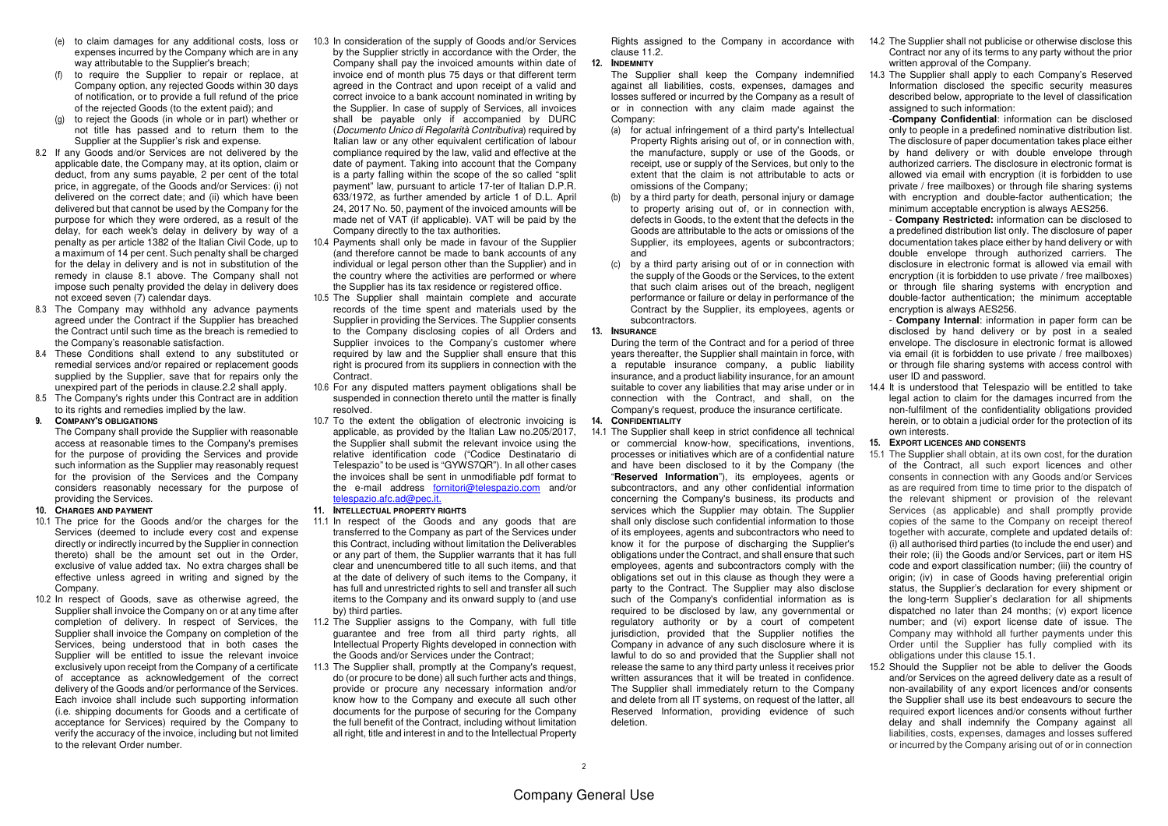- (e) to claim damages for any additional costs, loss or expenses incurred by the Company which are in any way attributable to the Supplier's breach:
- (f) to require the Supplier to repair or replace, at Company option, any rejected Goods within 30 days of notification, or to provide a full refund of the price of the rejected Goods (to the extent paid); and
- (g) to reject the Goods (in whole or in part) whether or not title has passed and to return them to the Supplier at the Supplier's risk and expense.
- 8.2 If any Goods and/or Services are not delivered by the applicable date, the Company may, at its option, claim or deduct, from any sums payable, 2 per cent of the total price, in aggregate, of the Goods and/or Services: (i) not delivered on the correct date; and (ii) which have been delivered but that cannot be used by the Company for the purpose for which they were ordered, as a result of the delay, for each week's delay in delivery by way of a penalty as per article 1382 of the Italian Civil Code, up to a maximum of 14 per cent. Such penalty shall be charged for the delay in delivery and is not in substitution of the remedy in clause 8.1 above. The Company shall not impose such penalty provided the delay in delivery does not exceed seven (7) calendar days.
- 8.3 The Company may withhold any advance payments agreed under the Contract if the Supplier has breached the Contract until such time as the breach is remedied to the Company's reasonable satisfaction.
- 8.4 These Conditions shall extend to any substituted or remedial services and/or repaired or replacement goods supplied by the Supplier, save that for repairs only the unexpired part of the periods in clause.2.2 shall apply.
- 8.5 The Company's rights under this Contract are in addition to its rights and remedies implied by the law.

#### **9. COMPANY'S OBLIGATIONS**

 The Company shall provide the Supplier with reasonable access at reasonable times to the Company's premises for the purpose of providing the Services and provide such information as the Supplier may reasonably request for the provision of the Services and the Company considers reasonably necessary for the purpose of providing the Services.

- **10. CHARGES AND PAYMENT**
- 10.1 The price for the Goods and/or the charges for the Services (deemed to include every cost and expense directly or indirectly incurred by the Supplier in connection thereto) shall be the amount set out in the Order, exclusive of value added tax. No extra charges shall be effective unless agreed in writing and signed by the Company.
- 10.2 In respect of Goods, save as otherwise agreed, the Supplier shall invoice the Company on or at any time after completion of delivery. In respect of Services, the Supplier shall invoice the Company on completion of the Services, being understood that in both cases the Supplier will be entitled to issue the relevant invoice exclusively upon receipt from the Company of a certificate of acceptance as acknowledgement of the correct delivery of the Goods and/or performance of the Services. Each invoice shall include such supporting information (i.e. shipping documents for Goods and a certificate of acceptance for Services) required by the Company to verify the accuracy of the invoice, including but not limited to the relevant Order number.
- 10.3 In consideration of the supply of Goods and/or Services by the Supplier strictly in accordance with the Order, the Company shall pay the invoiced amounts within date of invoice end of month plus 75 days or that different term agreed in the Contract and upon receipt of a valid and correct invoice to a bank account nominated in writing by the Supplier. In case of supply of Services, all invoices shall be payable only if accompanied by DURC (Documento Unico di Regolarità Contributiva) required by Italian law or any other equivalent certification of labour compliance required by the law, valid and effective at the date of payment. Taking into account that the Company is a party falling within the scope of the so called "split payment" law, pursuant to article 17-ter of Italian D.P.R. 633/1972, as further amended by article 1 of D.L. April 24, 2017 No. 50, payment of the invoiced amounts will be made net of VAT (if applicable). VAT will be paid by the Company directly to the tax authorities.
- 10.4 Payments shall only be made in favour of the Supplier (and therefore cannot be made to bank accounts of any individual or legal person other than the Supplier) and in the country where the activities are performed or where the Supplier has its tax residence or registered office.
- 10.5 The Supplier shall maintain complete and accurate records of the time spent and materials used by the Supplier in providing the Services. The Supplier consents to the Company disclosing copies of all Orders and Supplier invoices to the Company's customer where required by law and the Supplier shall ensure that this right is procured from its suppliers in connection with the **Contract**
- 10.6 For any disputed matters payment obligations shall be suspended in connection thereto until the matter is finally resolved.
- 10.7 To the extent the obligation of electronic invoicing is applicable, as provided by the Italian Law no.205/2017, the Supplier shall submit the relevant invoice using the relative identification code ("Codice Destinatario di Telespazio" to be used is "GYWS7QR"). In all other cases the invoices shall be sent in unmodifiable pdf format to the e-mail address fornitori@telespazio.com and/or telespazio.afc.ad@pec.it.
- **11. INTELLECTUAL PROPERTY RIGHTS**
- 11.1 In respect of the Goods and any goods that are transferred to the Company as part of the Services under this Contract, including without limitation the Deliverables or any part of them, the Supplier warrants that it has full clear and unencumbered title to all such items, and that at the date of delivery of such items to the Company, it has full and unrestricted rights to sell and transfer all such items to the Company and its onward supply to (and use by) third parties.
- 11.2 The Supplier assigns to the Company, with full title guarantee and free from all third party rights, all Intellectual Property Rights developed in connection with the Goods and/or Services under the Contract;
- 11.3 The Supplier shall, promptly at the Company's request, do (or procure to be done) all such further acts and things, provide or procure any necessary information and/or know how to the Company and execute all such other documents for the purpose of securing for the Company the full benefit of the Contract, including without limitation all right, title and interest in and to the Intellectual Property

clause 11.2

**12. INDEMNITY**

 The Supplier shall keep the Company indemnified against all liabilities, costs, expenses, damages and losses suffered or incurred by the Company as a result of or in connection with any claim made against the Company:

- (a) for actual infringement of a third party's Intellectual Property Rights arising out of, or in connection with, the manufacture, supply or use of the Goods, or receipt, use or supply of the Services, but only to the extent that the claim is not attributable to acts or omissions of the Company;
- (b) by a third party for death, personal injury or damage to property arising out of, or in connection with, defects in Goods, to the extent that the defects in the Goods are attributable to the acts or omissions of the Supplier, its employees, agents or subcontractors; and
- (c) by a third party arising out of or in connection with the supply of the Goods or the Services, to the extent that such claim arises out of the breach, negligent performance or failure or delay in performance of the Contract by the Supplier, its employees, agents or subcontractors.

#### **13. INSURANCE**

 During the term of the Contract and for a period of three years thereafter, the Supplier shall maintain in force, with a reputable insurance company, a public liability insurance, and a product liability insurance, for an amount suitable to cover any liabilities that may arise under or in connection with the Contract, and shall, on the Company's request, produce the insurance certificate.

- **14. CONFIDENTIALITY**
- 14.1 The Supplier shall keep in strict confidence all technical or commercial know-how, specifications, inventions, processes or initiatives which are of a confidential nature and have been disclosed to it by the Company (the "**Reserved Information**"), its employees, agents or subcontractors, and any other confidential information concerning the Company's business, its products and services which the Supplier may obtain. The Supplier shall only disclose such confidential information to those of its employees, agents and subcontractors who need to know it for the purpose of discharging the Supplier's obligations under the Contract, and shall ensure that such employees, agents and subcontractors comply with the obligations set out in this clause as though they were a party to the Contract. The Supplier may also disclose such of the Company's confidential information as is required to be disclosed by law, any governmental or regulatory authority or by a court of competent jurisdiction, provided that the Supplier notifies the Company in advance of any such disclosure where it is lawful to do so and provided that the Supplier shall not release the same to any third party unless it receives prior written assurances that it will be treated in confidence. The Supplier shall immediately return to the Company and delete from all IT systems, on request of the latter, all Reserved Information, providing evidence of such deletion.
- Rights assigned to the Company in accordance with 14.2 The Supplier shall not publicise or otherwise disclose this Contract nor any of its terms to any party without the prior written approval of the Company.
	- 14.3 The Supplier shall apply to each Company's Reserved Information disclosed the specific security measures described below, appropriate to the level of classification assigned to such information: -**Company Confidential**: information can be disclosed

 only to people in a predefined nominative distribution list. The disclosure of paper documentation takes place either by hand delivery or with double envelope through authorized carriers. The disclosure in electronic format is allowed via email with encryption (it is forbidden to use private / free mailboxes) or through file sharing systems with encryption and double-factor authentication; the minimum acceptable encryption is always AES256.

 - **Company Restricted:** information can be disclosed to a predefined distribution list only. The disclosure of paper documentation takes place either by hand delivery or with double envelope through authorized carriers. The disclosure in electronic format is allowed via email with encryption (it is forbidden to use private / free mailboxes) or through file sharing systems with encryption and double-factor authentication; the minimum acceptable encryption is always AES256.

 - **Company Internal**: information in paper form can be disclosed by hand delivery or by post in a sealed envelope. The disclosure in electronic format is allowed via email (it is forbidden to use private / free mailboxes) or through file sharing systems with access control with user ID and password.

- 14.4 It is understood that Telespazio will be entitled to take legal action to claim for the damages incurred from the non-fulfilment of the confidentiality obligations provided herein, or to obtain a judicial order for the protection of its own interests.
- **15. EXPORT LICENCES AND CONSENTS**
- 15.1 The Supplier shall obtain, at its own cost, for the duration of the Contract, all such export licences and other consents in connection with any Goods and/or Services as are required from time to time prior to the dispatch of the relevant shipment or provision of the relevant Services (as applicable) and shall promptly provide copies of the same to the Company on receipt thereof together with accurate, complete and updated details of: (i) all authorised third parties (to include the end user) and their role; (ii) the Goods and/or Services, part or item HS code and export classification number; (iii) the country of origin; (iv) in case of Goods having preferential origin status, the Supplier's declaration for every shipment or the long-term Supplier's declaration for all shipments dispatched no later than 24 months; (v) export licence number; and (vi) export license date of issue. The Company may withhold all further payments under this Order until the Supplier has fully complied with its obligations under this clause 15.1.
- 15.2 Should the Supplier not be able to deliver the Goods and/or Services on the agreed delivery date as a result of non-availability of any export licences and/or consents the Supplier shall use its best endeavours to secure the required export licences and/or consents without further delay and shall indemnify the Company against all liabilities, costs, expenses, damages and losses suffered or incurred by the Company arising out of or in connection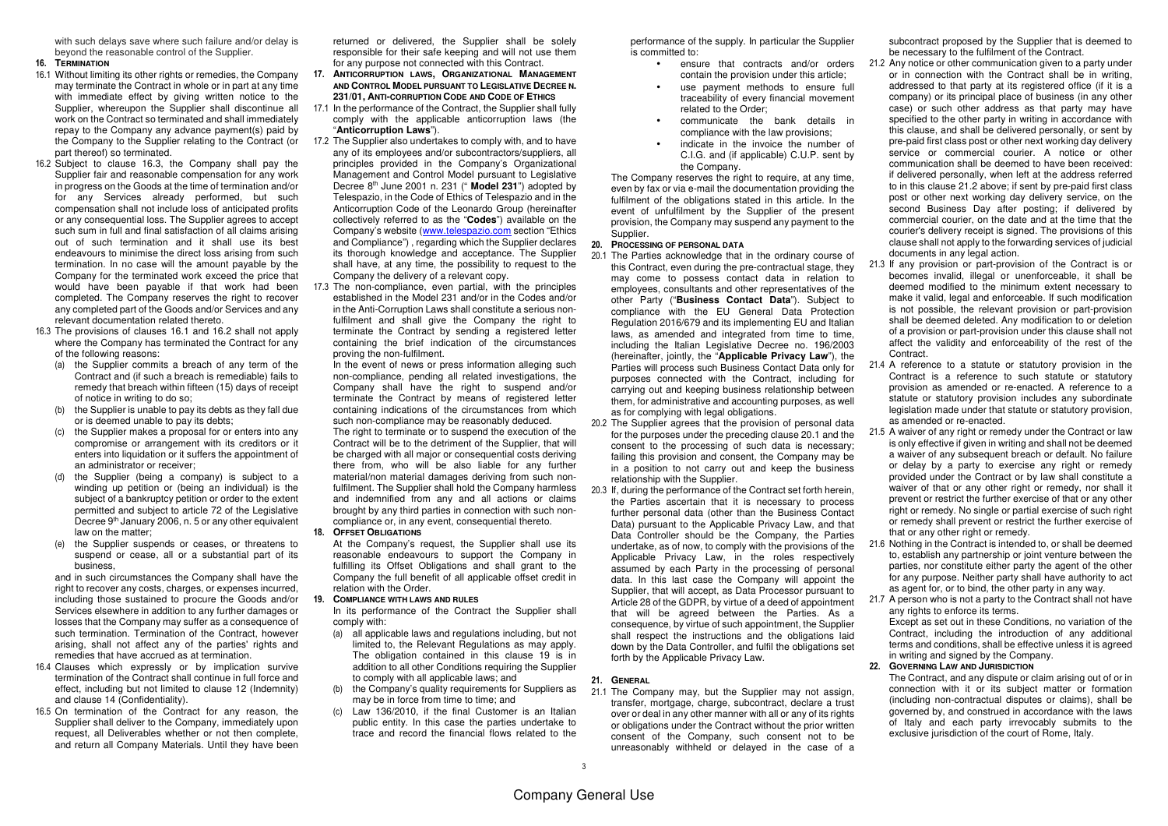with such delays save where such failure and/or delay is beyond the reasonable control of the Supplier.

#### **16. TERMINATION**

- 16.1 Without limiting its other rights or remedies, the Company may terminate the Contract in whole or in part at any time with immediate effect by giving written notice to the Supplier, whereupon the Supplier shall discontinue all work on the Contract so terminated and shall immediately repay to the Company any advance payment(s) paid by the Company to the Supplier relating to the Contract (or part thereof) so terminated.
- 16.2 Subject to clause 16.3, the Company shall pay the Supplier fair and reasonable compensation for any work in progress on the Goods at the time of termination and/or for any Services already performed, but such compensation shall not include loss of anticipated profits or any consequential loss. The Supplier agrees to accept such sum in full and final satisfaction of all claims arising out of such termination and it shall use its best endeavours to minimise the direct loss arising from such termination. In no case will the amount payable by the Company for the terminated work exceed the price that would have been payable if that work had been completed. The Company reserves the right to recover any completed part of the Goods and/or Services and any relevant documentation related thereto.
- 16.3 The provisions of clauses 16.1 and 16.2 shall not apply where the Company has terminated the Contract for any of the following reasons:
	- (a) the Supplier commits a breach of any term of the Contract and (if such a breach is remediable) fails to remedy that breach within fifteen (15) days of receipt of notice in writing to do so;
	- (b) the Supplier is unable to pay its debts as they fall due or is deemed unable to pay its debts;
	- (c) the Supplier makes a proposal for or enters into any compromise or arrangement with its creditors or it enters into liquidation or it suffers the appointment of an administrator or receiver;
	- (d) the Supplier (being a company) is subject to a winding up petition or (being an individual) is the subject of a bankruptcy petition or order to the extent permitted and subject to article 72 of the Legislative Decree 9<sup>th</sup> January 2006, n. 5 or any other equivalent law on the matter;
	- (e) the Supplier suspends or ceases, or threatens to suspend or cease, all or a substantial part of its business,

 and in such circumstances the Company shall have the right to recover any costs, charges, or expenses incurred, including those sustained to procure the Goods and/or Services elsewhere in addition to any further damages or losses that the Company may suffer as a consequence of such termination. Termination of the Contract, however arising, shall not affect any of the parties' rights and remedies that have accrued as at termination.

- 16.4 Clauses which expressly or by implication survive termination of the Contract shall continue in full force and effect, including but not limited to clause 12 (Indemnity) and clause 14 (Confidentiality).
- 16.5 On termination of the Contract for any reason, the Supplier shall deliver to the Company, immediately upon request, all Deliverables whether or not then complete, and return all Company Materials. Until they have been

returned or delivered, the Supplier shall be solely responsible for their safe keeping and will not use them for any purpose not connected with this Contract.

- **17. ANTICORRUPTION LAWS, ORGANIZATIONAL MANAGEMENT AND CONTROL MODEL PURSUANT TO LEGISLATIVE DECREE N.231/01,ANTI-CORRUPTION CODE AND CODE OF ETHICS**
- 17.1 In the performance of the Contract, the Supplier shall fully comply with the applicable anticorruption laws (the"**Anticorruption Laws**").
- 17.2 The Supplier also undertakes to comply with, and to have any of its employees and/or subcontractors/suppliers, all principles provided in the Company's Organizational Management and Control Model pursuant to Legislative Decree 8th June 2001 n. 231 (" **Model 231**") adopted by Telespazio, in the Code of Ethics of Telespazio and in the Anticorruption Code of the Leonardo Group (hereinafter collectively referred to as the "**Codes**") available on the Company's website (www.telespazio.com section "Ethics and Compliance") , regarding which the Supplier declares its thorough knowledge and acceptance. The Supplier shall have, at any time, the possibility to request to the Company the delivery of a relevant copy.
- 17.3 The non-compliance, even partial, with the principles established in the Model 231 and/or in the Codes and/or in the Anti-Corruption Laws shall constitute a serious nonfulfilment and shall give the Company the right to terminate the Contract by sending a registered letter containing the brief indication of the circumstances proving the non-fulfilment.

 In the event of news or press information alleging such non-compliance, pending all related investigations, the Company shall have the right to suspend and/or terminate the Contract by means of registered letter containing indications of the circumstances from which such non-compliance may be reasonably deduced.

 The right to terminate or to suspend the execution of the Contract will be to the detriment of the Supplier, that will be charged with all major or consequential costs deriving there from, who will be also liable for any further material/non material damages deriving from such nonfulfilment. The Supplier shall hold the Company harmless and indemnified from any and all actions or claims brought by any third parties in connection with such noncompliance or, in any event, consequential thereto.

- **18. OFFSET OBLIGATIONS**
- At the Company's request, the Supplier shall use its reasonable endeavours to support the Company in fulfilling its Offset Obligations and shall grant to the Company the full benefit of all applicable offset credit in relation with the Order.
- **19. COMPLIANCE WITH LAWS AND RULES**
	- In its performance of the Contract the Supplier shall comply with:
	- (a) all applicable laws and regulations including, but not limited to, the Relevant Regulations as may apply. The obligation contained in this clause 19 is in addition to all other Conditions requiring the Supplier to comply with all applicable laws; and
	- (b) the Company's quality requirements for Suppliers as may be in force from time to time; and
	- (c) Law 136/2010, if the final Customer is an Italian public entity. In this case the parties undertake to trace and record the financial flows related to the

performance of the supply. In particular the Supplier is committed to:

- ensure that contracts and/or orders contain the provision under this article;
- use payment methods to ensure full traceability of every financial movement related to the Order;
- communicate the bank details in compliance with the law provisions;
- indicate in the invoice the number of C.I.G. and (if applicable) C.U.P. sent by the Company.

 The Company reserves the right to require, at any time, even by fax or via e-mail the documentation providing the fulfilment of the obligations stated in this article. In the event of unfulfilment by the Supplier of the present provision, the Company may suspend any payment to the Supplier.

#### **20. PROCESSING OF PERSONAL DATA**

- 20.1 The Parties acknowledge that in the ordinary course of this Contract, even during the pre-contractual stage, they may come to possess contact data in relation to employees, consultants and other representatives of the other Party ("**Business Contact Data**"). Subject to compliance with the EU General Data Protection Regulation 2016/679 and its implementing EU and Italian laws, as amended and integrated from time to time, including the Italian Legislative Decree no. 196/2003 (hereinafter, jointly, the "**Applicable Privacy Law**"), the Parties will process such Business Contact Data only for purposes connected with the Contract, including for carrying out and keeping business relationship between them, for administrative and accounting purposes, as well as for complying with legal obligations.
- 20.2 The Supplier agrees that the provision of personal data for the purposes under the preceding clause 20.1 and the consent to the processing of such data is necessary; failing this provision and consent, the Company may be in a position to not carry out and keep the business relationship with the Supplier.
- 20.3 If, during the performance of the Contract set forth herein, the Parties ascertain that it is necessary to process further personal data (other than the Business Contact Data) pursuant to the Applicable Privacy Law, and that Data Controller should be the Company, the Parties undertake, as of now, to comply with the provisions of the Applicable Privacy Law, in the roles respectively assumed by each Party in the processing of personal data. In this last case the Company will appoint the Supplier, that will accept, as Data Processor pursuant to Article 28 of the GDPR, by virtue of a deed of appointment that will be agreed between the Parties. As a consequence, by virtue of such appointment, the Supplier shall respect the instructions and the obligations laid down by the Data Controller, and fulfil the obligations set forth by the Applicable Privacy Law.

#### **21. GENERAL**

 21.1 The Company may, but the Supplier may not assign, transfer, mortgage, charge, subcontract, declare a trust over or deal in any other manner with all or any of its rights or obligations under the Contract without the prior written consent of the Company, such consent not to be unreasonably withheld or delayed in the case of a subcontract proposed by the Supplier that is deemed to be necessary to the fulfilment of the Contract.

- 21.2 Any notice or other communication given to a party under or in connection with the Contract shall be in writing, addressed to that party at its registered office (if it is a company) or its principal place of business (in any other case) or such other address as that party may have specified to the other party in writing in accordance with this clause, and shall be delivered personally, or sent by pre-paid first class post or other next working day delivery service or commercial courier. A notice or other communication shall be deemed to have been received: if delivered personally, when left at the address referred to in this clause 21.2 above; if sent by pre-paid first class post or other next working day delivery service, on the second Business Day after posting; if delivered by commercial courier, on the date and at the time that the courier's delivery receipt is signed. The provisions of this clause shall not apply to the forwarding services of judicial documents in any legal action.
- 21.3 If any provision or part-provision of the Contract is or becomes invalid, illegal or unenforceable, it shall be deemed modified to the minimum extent necessary to make it valid, legal and enforceable. If such modification is not possible, the relevant provision or part-provision shall be deemed deleted. Any modification to or deletion of a provision or part-provision under this clause shall not affect the validity and enforceability of the rest of the **Contract**
- 21.4 A reference to a statute or statutory provision in the Contract is a reference to such statute or statutory provision as amended or re-enacted. A reference to a statute or statutory provision includes any subordinate legislation made under that statute or statutory provision, as amended or re-enacted.
- 21.5 A waiver of any right or remedy under the Contract or law is only effective if given in writing and shall not be deemed a waiver of any subsequent breach or default. No failure or delay by a party to exercise any right or remedy provided under the Contract or by law shall constitute a waiver of that or any other right or remedy, nor shall it prevent or restrict the further exercise of that or any other right or remedy. No single or partial exercise of such right or remedy shall prevent or restrict the further exercise of that or any other right or remedy.
- 21.6 Nothing in the Contract is intended to, or shall be deemed to, establish any partnership or joint venture between the parties, nor constitute either party the agent of the other for any purpose. Neither party shall have authority to act as agent for, or to bind, the other party in any way.
- 21.7 A person who is not a party to the Contract shall not have any rights to enforce its terms. Except as set out in these Conditions, no variation of the Contract, including the introduction of any additional terms and conditions, shall be effective unless it is agreed in writing and signed by the Company.

#### **22. GOVERNING LAW AND JURISDICTION**

 The Contract, and any dispute or claim arising out of or in connection with it or its subject matter or formation (including non-contractual disputes or claims), shall be governed by, and construed in accordance with the laws of Italy and each party irrevocably submits to the exclusive jurisdiction of the court of Rome, Italy.